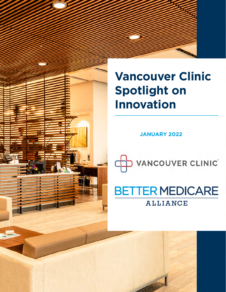# **Vancouver Clinic Spotlight on Innovation**

**JANUARY 2022**



# **BETTER MEDICARE**

**ALLIANCE** 

Vancouver Clinic Spotlight on Innovation - A Better Medicare Alliance Ally 1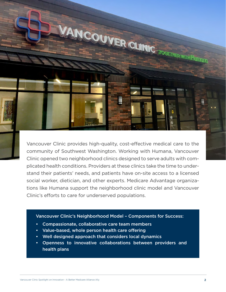

Vancouver Clinic provides high-quality, cost-effective medical care to the community of Southwest Washington. Working with Humana, Vancouver Clinic opened two neighborhood clinics designed to serve adults with complicated health conditions. Providers at these clinics take the time to understand their patients' needs, and patients have on-site access to a licensed social worker, dietician, and other experts. Medicare Advantage organizations like Humana support the neighborhood clinic model and Vancouver Clinic's efforts to care for underserved populations.

#### Vancouver Clinic's Neighborhood Model – Components for Success:

- Compassionate, collaborative care team members
- Value-based, whole person health care offering
- Well designed approach that considers local dynamics
- Openness to innovative collaborations between providers and health plans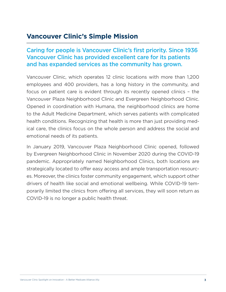# **Vancouver Clinic's Simple Mission**

#### Caring for people is Vancouver Clinic's first priority. Since 1936 Vancouver Clinic has provided excellent care for its patients and has expanded services as the community has grown.

Vancouver Clinic, which operates 12 clinic locations with more than 1,200 employees and 400 providers, has a long history in the community, and focus on patient care is evident through its recently opened clinics – the Vancouver Plaza Neighborhood Clinic and Evergreen Neighborhood Clinic. Opened in coordination with Humana, the neighborhood clinics are home to the Adult Medicine Department, which serves patients with complicated health conditions. Recognizing that health is more than just providing medical care, the clinics focus on the whole person and address the social and emotional needs of its patients.

In January 2019, Vancouver Plaza Neighborhood Clinic opened, followed by Evergreen Neighborhood Clinic in November 2020 during the COVID-19 pandemic. Appropriately named Neighborhood Clinics, both locations are strategically located to offer easy access and ample transportation resources. Moreover, the clinics foster community engagement, which support other drivers of health like social and emotional wellbeing. While COVID-19 temporarily limited the clinics from offering all services, they will soon return as COVID-19 is no longer a public health threat.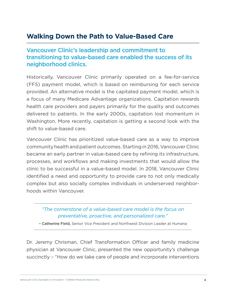# **Walking Down the Path to Value-Based Care**

#### Vancouver Clinic's leadership and commitment to transitioning to value-based care enabled the success of its neighborhood clinics.

Historically, Vancouver Clinic primarily operated on a fee-for-service (FFS) payment model, which is based on reimbursing for each service provided. An alternative model is the capitated payment model, which is a focus of many Medicare Advantage organizations. Capitation rewards health care providers and payers primarily for the quality and outcomes delivered to patients. In the early 2000s, capitation lost momentum in Washington. More recently, capitation is getting a second look with the shift to value-based care.

Vancouver Clinic has prioritized value-based care as a way to improve community health and patient outcomes. Starting in 2016, Vancouver Clinic became an early partner in value-based care by refining its infrastructure, processes, and workflows and making investments that would allow the clinic to be successful in a value-based model. In 2018, Vancouver Clinic identified a need and opportunity to provide care to not only medically complex but also socially complex individuals in underserved neighborhoods within Vancouver.

#### *"The cornerstone of a value-based care model is the focus on preventative, proactive, and personalized care."*

– Catherine Field, Senior Vice President and Northwest Division Leader at Humana

Dr. Jeremy Chrisman, Chief Transformation Officer and family medicine physician at Vancouver Clinic, presented the new opportunity's challenge succinctly – "How do we take care of people and incorporate interventions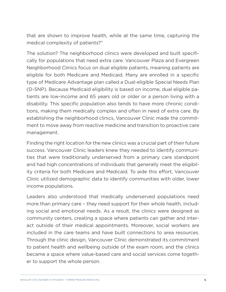that are shown to improve health, while at the same time, capturing the medical complexity of patients?"

The solution? The neighborhood clinics were developed and built specifically for populations that need extra care. Vancouver Plaza and Evergreen Neighborhood Clinics focus on dual eligible patients, meaning patients are eligible for both Medicare and Medicaid. Many are enrolled in a specific type of Medicare Advantage plan called a Dual-eligible Special Needs Plan (D-SNP). Because Medicaid eligibility is based on income, dual eligible patients are low-income and 65 years old or older or a person living with a disability. This specific population also tends to have more chronic conditions, making them medically complex and often in need of extra care. By establishing the neighborhood clinics, Vancouver Clinic made the commitment to move away from reactive medicine and transition to proactive care management.

Finding the right location for the new clinics was a crucial part of their future success. Vancouver Clinic leaders knew they needed to identify communities that were traditionally underserved from a primary care standpoint and had high concentrations of individuals that generally meet the eligibility criteria for both Medicare and Medicaid. To aide this effort, Vancouver Clinic utilized demographic data to identify communities with older, lower income populations.

Leaders also understood that medically underserved populations need more than primary care – they need support for their whole health, including social and emotional needs. As a result, the clinics were designed as community centers, creating a space where patients can gather and interact outside of their medical appointments. Moreover, social workers are included in the care teams and have built connections to area resources. Through the clinic design, Vancouver Clinic demonstrated its commitment to patient health and wellbeing outside of the exam room, and the clinics became a space where value-based care and social services come together to support the whole person.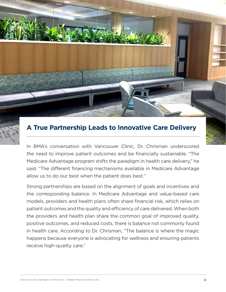

# **A True Partnership Leads to Innovative Care Delivery**

In BMA's conversation with Vancouver Clinic, Dr. Chrisman underscored the need to improve patient outcomes and be financially sustainable. "The Medicare Advantage program shifts the paradigm in health care delivery," he said. "The different financing mechanisms available in Medicare Advantage allow us to do our best when the patient does best."

Strong partnerships are based on the alignment of goals and incentives and the corresponding balance. In Medicare Advantage and value-based care models, providers and health plans often share financial risk, which relies on patient outcomes and the quality and efficiency of care delivered. When both the providers and health plan share the common goal of improved quality, positive outcomes, and reduced costs, there is balance not commonly found in health care. According to Dr. Chrisman, "The balance is where the magic happens because everyone is advocating for wellness and ensuring patients receive high-quality care."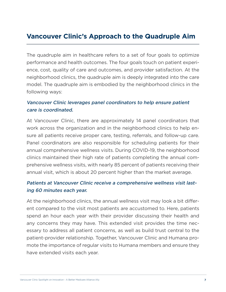# **Vancouver Clinic's Approach to the Quadruple Aim**

The quadruple aim in healthcare refers to a set of four goals to optimize performance and health outcomes. The four goals touch on patient experience, cost, quality of care and outcomes, and provider satisfaction. At the neighborhood clinics, the quadruple aim is deeply integrated into the care model. The quadruple aim is embodied by the neighborhood clinics in the following ways:

#### Vancouver Clinic leverages panel coordinators to help ensure patient care is coordinated.

At Vancouver Clinic, there are approximately 14 panel coordinators that work across the organization and in the neighborhood clinics to help ensure all patients receive proper care, testing, referrals, and follow-up care. Panel coordinators are also responsible for scheduling patients for their annual comprehensive wellness visits. During COVID-19, the neighborhood clinics maintained their high rate of patients completing the annual comprehensive wellness visits, with nearly 85 percent of patients receiving their annual visit, which is about 20 percent higher than the market average.

#### Patients at Vancouver Clinic receive a comprehensive wellness visit lasting 60 minutes each year.

At the neighborhood clinics, the annual wellness visit may look a bit different compared to the visit most patients are accustomed to. Here, patients spend an hour each year with their provider discussing their health and any concerns they may have. This extended visit provides the time necessary to address all patient concerns, as well as build trust central to the patient-provider relationship. Together, Vancouver Clinic and Humana promote the importance of regular visits to Humana members and ensure they have extended visits each year.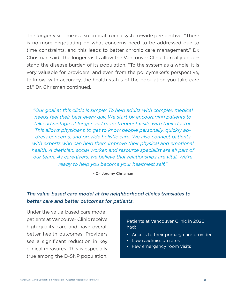The longer visit time is also critical from a system-wide perspective. "There is no more negotiating on what concerns need to be addressed due to time constraints, and this leads to better chronic care management," Dr. Chrisman said. The longer visits allow the Vancouver Clinic to really understand the disease burden of its population. "To the system as a whole, it is very valuable for providers, and even from the policymaker's perspective, to know, with accuracy, the health status of the population you take care of," Dr. Chrisman continued.

*"Our goal at this clinic is simple: To help adults with complex medical needs feel their best every day. We start by encouraging patients to take advantage of longer and more frequent visits with their doctor. This allows physicians to get to know people personally, quickly address concerns, and provide holistic care. We also connect patients with experts who can help them improve their physical and emotional health. A dietician, social worker, and resource specialist are all part of our team. As caregivers, we believe that relationships are vital. We're ready to help you become your healthiest self."*

– Dr. Jeremy Chrisman

#### The value-based care model at the neighborhood clinics translates to better care and better outcomes for patients.

Under the value-based care model, patients at Vancouver Clinic receive high-quality care and have overall better health outcomes. Providers see a significant reduction in key clinical measures. This is especially true among the D-SNP population.

#### Patients at Vancouver Clinic in 2020 had:

- Access to their primary care provider
- Low readmission rates
- Few emergency room visits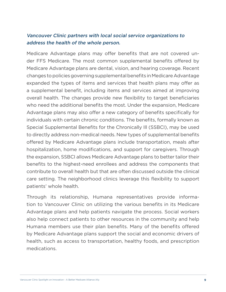#### Vancouver Clinic partners with local social service organizations to address the health of the whole person.

Medicare Advantage plans may offer benefits that are not covered under FFS Medicare. The most common supplemental benefits offered by Medicare Advantage plans are dental, vision, and hearing coverage. Recent changes to policies governing supplemental benefits in Medicare Advantage expanded the types of items and services that health plans may offer as a supplemental benefit, including items and services aimed at improving overall health. The changes provide new flexibility to target beneficiaries who need the additional benefits the most. Under the expansion, Medicare Advantage plans may also offer a new category of benefits specifically for individuals with certain chronic conditions. The benefits, formally known as Special Supplemental Benefits for the Chronically Ill (SSBCI), may be used to directly address non-medical needs. New types of supplemental benefits offered by Medicare Advantage plans include transportation, meals after hospitalization, home modifications, and support for caregivers. Through the expansion, SSBCI allows Medicare Advantage plans to better tailor their benefits to the highest-need enrollees and address the components that contribute to overall health but that are often discussed outside the clinical care setting. The neighborhood clinics leverage this flexibility to support patients' whole health.

Through its relationship, Humana representatives provide information to Vancouver Clinic on utilizing the various benefits in its Medicare Advantage plans and help patients navigate the process. Social workers also help connect patients to other resources in the community and help Humana members use their plan benefits. Many of the benefits offered by Medicare Advantage plans support the social and economic drivers of health, such as access to transportation, healthy foods, and prescription medications.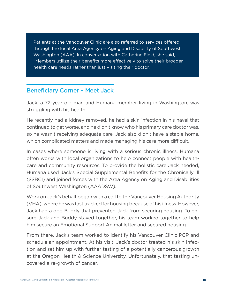Patients at the Vancouver Clinic are also referred to services offered through the local Area Agency on Aging and Disability of Southwest Washington (AAA). In conversation with Catherine Field, she said, "Members utilize their benefits more effectively to solve their broader health care needs rather than just visiting their doctor."

#### Beneficiary Corner – Meet Jack

Jack, a 72-year-old man and Humana member living in Washington, was struggling with his health.

He recently had a kidney removed, he had a skin infection in his navel that continued to get worse, and he didn't know who his primary care doctor was, so he wasn't receiving adequate care. Jack also didn't have a stable home, which complicated matters and made managing his care more difficult.

In cases where someone is living with a serious chronic illness, Humana often works with local organizations to help connect people with healthcare and community resources. To provide the holistic care Jack needed, Humana used Jack's Special Supplemental Benefits for the Chronically Ill (SSBCI) and joined forces with the Area Agency on Aging and Disabilities of Southwest Washington (AAADSW).

Work on Jack's behalf began with a call to the Vancouver Housing Authority (VHA), where he was fast tracked for housing because of his illness. However, Jack had a dog Buddy that prevented Jack from securing housing. To ensure Jack and Buddy stayed together, his team worked together to help him secure an Emotional Support Animal letter and secured housing.

From there, Jack's team worked to identify his Vancouver Clinic PCP and schedule an appointment. At his visit, Jack's doctor treated his skin infection and set him up with further testing of a potentially cancerous growth at the Oregon Health & Science University. Unfortunately, that testing uncovered a re-growth of cancer.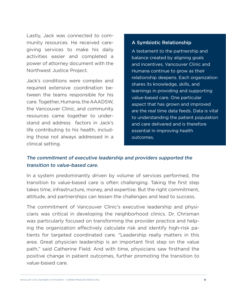Lastly, Jack was connected to community resources. He received caregiving services to make his daily activities easier and completed a power of attorney document with the Northwest Justice Project.

Jack's conditions were complex and required extensive coordination between the teams responsible for his care. Together, Humana, the AAADSW, the Vancouver Clinic, and community resources came together to understand and address factors in Jack's life contributing to his health, including those not always addressed in a clinical setting.

#### A Symbiotic Relationship

A testament to the partnership and balance created by aligning goals and incentives, Vancouver Clinic and Humana continue to grow as their relationship deepens. Each organization shares its knowledge, skills, and learnings in providing and supporting value-based care. One particular aspect that has grown and improved are the real time data feeds. Data is vital to understanding the patient population and care delivered and is therefore essential in improving health outcomes.

#### The commitment of executive leadership and providers supported the transition to value-based care.

In a system predominantly driven by volume of services performed, the transition to value-based care is often challenging. Taking the first step takes time, infrastructure, money, and expertise. But the right commitment, attitude, and partnerships can lessen the challenges and lead to success.

The commitment of Vancouver Clinic's executive leadership and physicians was critical in developing the neighborhood clinics. Dr. Chrisman was particularly focused on transforming the provider practice and helping the organization effectively calculate risk and identify high-risk patients for targeted coordinated care. "Leadership really matters in this area. Great physician leadership is an important first step on the value path," said Catherine Field. And with time, physicians saw firsthand the positive change in patient outcomes, further promoting the transition to value-based care.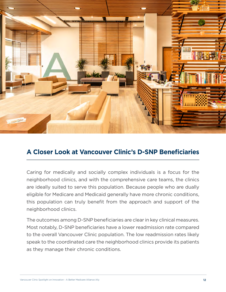

### **A Closer Look at Vancouver Clinic's D-SNP Beneficiaries**

Caring for medically and socially complex individuals is a focus for the neighborhood clinics, and with the comprehensive care teams, the clinics are ideally suited to serve this population. Because people who are dually eligible for Medicare and Medicaid generally have more chronic conditions, this population can truly benefit from the approach and support of the neighborhood clinics.

The outcomes among D-SNP beneficiaries are clear in key clinical measures. Most notably, D-SNP beneficiaries have a lower readmission rate compared to the overall Vancouver Clinic population. The low readmission rates likely speak to the coordinated care the neighborhood clinics provide its patients as they manage their chronic conditions.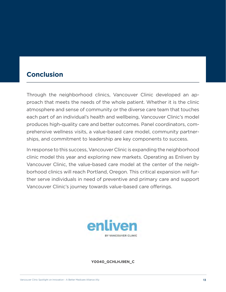# **Conclusion**

Through the neighborhood clinics, Vancouver Clinic developed an approach that meets the needs of the whole patient. Whether it is the clinic atmosphere and sense of community or the diverse care team that touches each part of an individual's health and wellbeing, Vancouver Clinic's model produces high-quality care and better outcomes. Panel coordinators, comprehensive wellness visits, a value-based care model, community partnerships, and commitment to leadership are key components to success.

In response to this success, Vancouver Clinic is expanding the neighborhood clinic model this year and exploring new markets. Operating as Enliven by Vancouver Clinic, the value-based care model at the center of the neighborhood clinics will reach Portland, Oregon. This critical expansion will further serve individuals in need of preventive and primary care and support Vancouver Clinic's journey towards value-based care offerings.



#### **Y0040\_GCHLHJ9EN\_C**